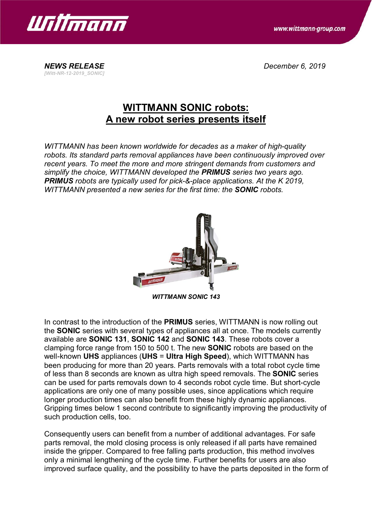

www.wittmann-group.com

*NEWS RELEASE December 6, 2019 [Witt-NR-12-2019\_SONIC]*

## **WITTMANN SONIC robots: A new robot series presents itself**

*WITTMANN has been known worldwide for decades as a maker of high-quality robots. Its standard parts removal appliances have been continuously improved over recent years. To meet the more and more stringent demands from customers and simplify the choice, WITTMANN developed the PRIMUS series two years ago. PRIMUS robots are typically used for pick-&-place applications. At the K 2019, WITTMANN presented a new series for the first time: the SONIC robots.*



*WITTMANN SONIC 143*

In contrast to the introduction of the **PRIMUS** series, WITTMANN is now rolling out the **SONIC** series with several types of appliances all at once. The models currently available are **SONIC 131**, **SONIC 142** and **SONIC 143**. These robots cover a clamping force range from 150 to 500 t. The new **SONIC** robots are based on the well-known **UHS** appliances (**UHS** = **Ultra High Speed**), which WITTMANN has been producing for more than 20 years. Parts removals with a total robot cycle time of less than 8 seconds are known as ultra high speed removals. The **SONIC** series can be used for parts removals down to 4 seconds robot cycle time. But short-cycle applications are only one of many possible uses, since applications which require longer production times can also benefit from these highly dynamic appliances. Gripping times below 1 second contribute to significantly improving the productivity of such production cells, too.

Consequently users can benefit from a number of additional advantages. For safe parts removal, the mold closing process is only released if all parts have remained inside the gripper. Compared to free falling parts production, this method involves only a minimal lengthening of the cycle time. Further benefits for users are also improved surface quality, and the possibility to have the parts deposited in the form of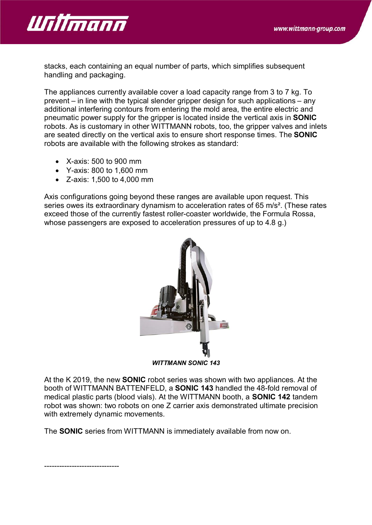

stacks, each containing an equal number of parts, which simplifies subsequent handling and packaging.

The appliances currently available cover a load capacity range from 3 to 7 kg. To prevent – in line with the typical slender gripper design for such applications – any additional interfering contours from entering the mold area, the entire electric and pneumatic power supply for the gripper is located inside the vertical axis in **SONIC** robots. As is customary in other WITTMANN robots, too, the gripper valves and inlets are seated directly on the vertical axis to ensure short response times. The **SONIC** robots are available with the following strokes as standard:

- · X-axis: 500 to 900 mm
- · Y-axis: 800 to 1,600 mm
- · Z-axis: 1,500 to 4,000 mm

Axis configurations going beyond these ranges are available upon request. This series owes its extraordinary dynamism to acceleration rates of 65 m/s<sup>2</sup>. (These rates exceed those of the currently fastest roller-coaster worldwide, the Formula Rossa, whose passengers are exposed to acceleration pressures of up to 4.8 g.)



At the K 2019, the new **SONIC** robot series was shown with two appliances. At the booth of WITTMANN BATTENFELD, a **SONIC 143** handled the 48-fold removal of medical plastic parts (blood vials). At the WITTMANN booth, a **SONIC 142** tandem robot was shown: two robots on one Z carrier axis demonstrated ultimate precision with extremely dynamic movements.

The **SONIC** series from WITTMANN is immediately available from now on.

------------------------------